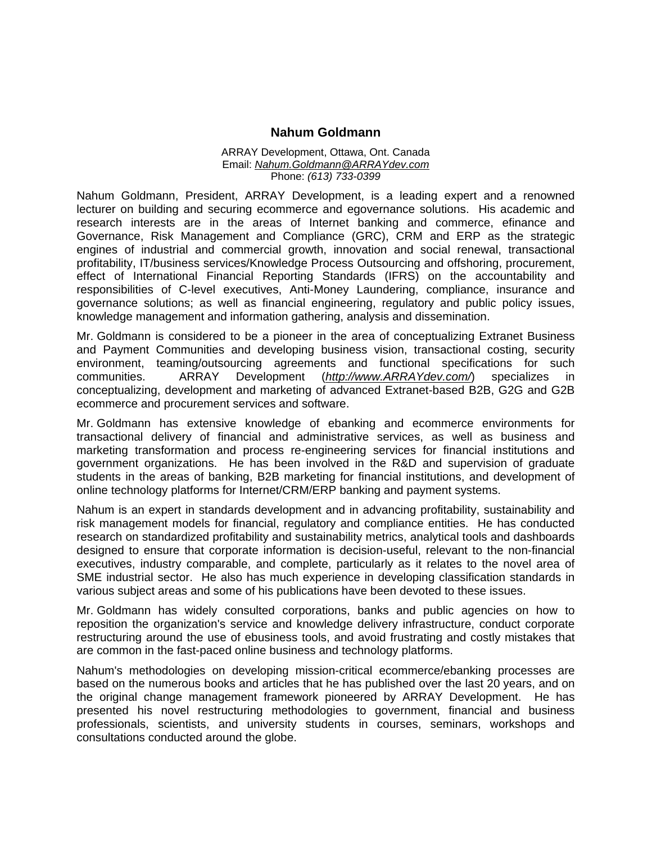## **Nahum Goldmann**

## ARRAY Development, Ottawa, Ont. Canada Email: *Nahum.Goldmann@ARRAYdev.com* Phone: *(613) 733-0399*

Nahum Goldmann, President, ARRAY Development, is a leading expert and a renowned lecturer on building and securing ecommerce and egovernance solutions. His academic and research interests are in the areas of Internet banking and commerce, efinance and Governance, Risk Management and Compliance (GRC), CRM and ERP as the strategic engines of industrial and commercial growth, innovation and social renewal, transactional profitability, IT/business services/Knowledge Process Outsourcing and offshoring, procurement, effect of International Financial Reporting Standards (IFRS) on the accountability and responsibilities of C-level executives, Anti-Money Laundering, compliance, insurance and governance solutions; as well as financial engineering, regulatory and public policy issues, knowledge management and information gathering, analysis and dissemination.

Mr. Goldmann is considered to be a pioneer in the area of conceptualizing Extranet Business and Payment Communities and developing business vision, transactional costing, security environment, teaming/outsourcing agreements and functional specifications for such communities. ARRAY Development (*http://www.ARRAYdev.com/*) specializes in conceptualizing, development and marketing of advanced Extranet-based B2B, G2G and G2B ecommerce and procurement services and software.

Mr. Goldmann has extensive knowledge of ebanking and ecommerce environments for transactional delivery of financial and administrative services, as well as business and marketing transformation and process re-engineering services for financial institutions and government organizations. He has been involved in the R&D and supervision of graduate students in the areas of banking, B2B marketing for financial institutions, and development of online technology platforms for Internet/CRM/ERP banking and payment systems.

Nahum is an expert in standards development and in advancing profitability, sustainability and risk management models for financial, regulatory and compliance entities. He has conducted research on standardized profitability and sustainability metrics, analytical tools and dashboards designed to ensure that corporate information is decision-useful, relevant to the non-financial executives, industry comparable, and complete, particularly as it relates to the novel area of SME industrial sector. He also has much experience in developing classification standards in various subject areas and some of his publications have been devoted to these issues.

Mr. Goldmann has widely consulted corporations, banks and public agencies on how to reposition the organization's service and knowledge delivery infrastructure, conduct corporate restructuring around the use of ebusiness tools, and avoid frustrating and costly mistakes that are common in the fast-paced online business and technology platforms.

Nahum's methodologies on developing mission-critical ecommerce/ebanking processes are based on the numerous books and articles that he has published over the last 20 years, and on the original change management framework pioneered by ARRAY Development. He has presented his novel restructuring methodologies to government, financial and business professionals, scientists, and university students in courses, seminars, workshops and consultations conducted around the globe.